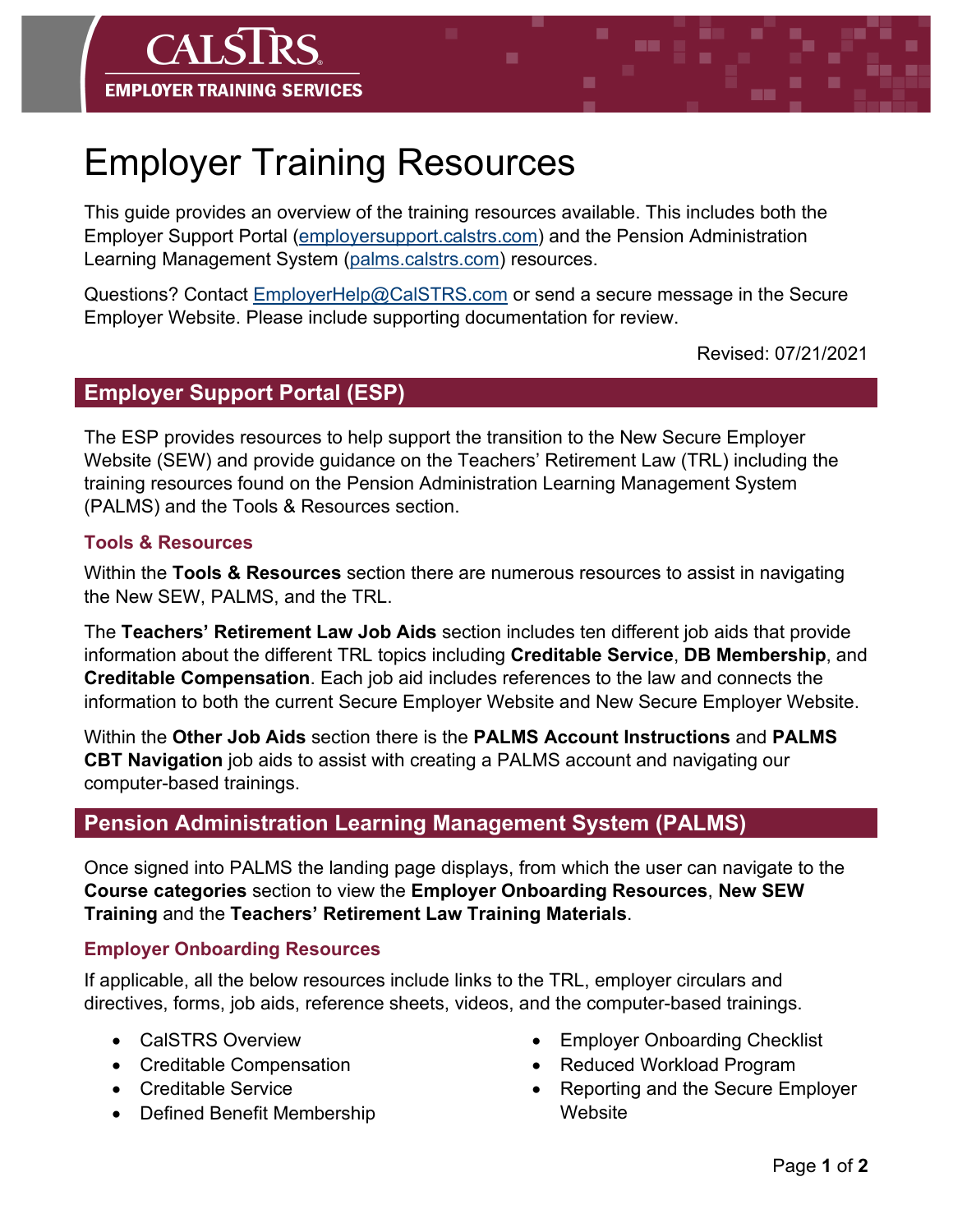

# Employer Training Resources

This guide provides an overview of the training resources available. This includes both the Employer Support Portal [\(employersupport.calstrs.com\)](https://employersupport.calstrs.com/) and the Pension Administration Learning Management System [\(palms.calstrs.com\)](https://palms.calstrs.com/) resources.

Questions? Contact [EmployerHelp@CalSTRS.com](mailto:EmployerHelp@CalSTRS.com) or send a secure message in the Secure Employer Website. Please include supporting documentation for review.

Revised: 07/21/2021

## **Employer Support Portal (ESP)**

The ESP provides resources to help support the transition to the New Secure Employer Website (SEW) and provide guidance on the Teachers' Retirement Law (TRL) including the training resources found on the Pension Administration Learning Management System (PALMS) and the Tools & Resources section.

#### **Tools & Resources**

Within the **Tools & Resources** section there are numerous resources to assist in navigating the New SEW, PALMS, and the TRL.

The **Teachers' Retirement Law Job Aids** section includes ten different job aids that provide information about the different TRL topics including **Creditable Service**, **DB Membership**, and **Creditable Compensation**. Each job aid includes references to the law and connects the information to both the current Secure Employer Website and New Secure Employer Website.

Within the **Other Job Aids** section there is the **PALMS Account Instructions** and **PALMS CBT Navigation** job aids to assist with creating a PALMS account and navigating our computer-based trainings.

# **Pension Administration Learning Management System (PALMS)**

Once signed into PALMS the landing page displays, from which the user can navigate to the **Course categories** section to view the **Employer Onboarding Resources**, **New SEW Training** and the **Teachers' Retirement Law Training Materials**.

#### **Employer Onboarding Resources**

If applicable, all the below resources include links to the TRL, employer circulars and directives, forms, job aids, reference sheets, videos, and the computer-based trainings.

- CalSTRS Overview
- Creditable Compensation
- Creditable Service
- Defined Benefit Membership
- Employer Onboarding Checklist
- Reduced Workload Program
- Reporting and the Secure Employer **Website**